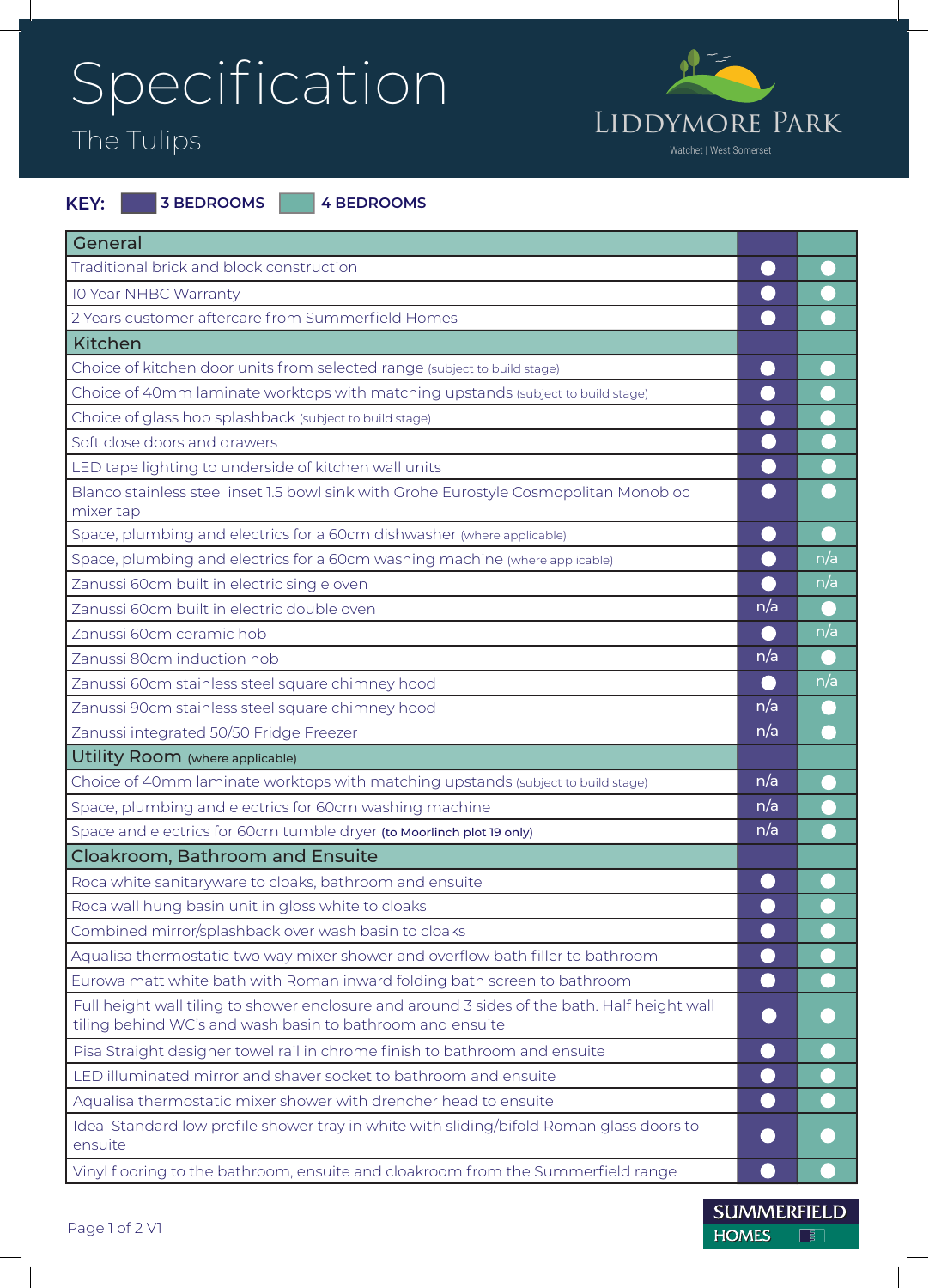## Specification



| KEY: | <b>13 BEDROOMS</b> |  | 4 BEDROOMS |
|------|--------------------|--|------------|
|------|--------------------|--|------------|

| General                                                                                                                                                   |     |     |
|-----------------------------------------------------------------------------------------------------------------------------------------------------------|-----|-----|
| Traditional brick and block construction                                                                                                                  |     |     |
| 10 Year NHBC Warranty                                                                                                                                     |     |     |
| 2 Years customer aftercare from Summerfield Homes                                                                                                         |     |     |
| <b>Kitchen</b>                                                                                                                                            |     |     |
| Choice of kitchen door units from selected range (subject to build stage)                                                                                 |     |     |
| Choice of 40mm laminate worktops with matching upstands (subject to build stage)                                                                          |     |     |
| Choice of glass hob splashback (subject to build stage)                                                                                                   |     |     |
| Soft close doors and drawers                                                                                                                              |     |     |
| LED tape lighting to underside of kitchen wall units                                                                                                      |     |     |
| Blanco stainless steel inset 1.5 bowl sink with Grohe Eurostyle Cosmopolitan Monobloc<br>mixer tap                                                        |     |     |
| Space, plumbing and electrics for a 60cm dishwasher (where applicable)                                                                                    |     |     |
| Space, plumbing and electrics for a 60cm washing machine (where applicable)                                                                               |     | n/a |
| Zanussi 60cm built in electric single oven                                                                                                                |     | n/a |
| Zanussi 60cm built in electric double oven                                                                                                                | n/a |     |
| Zanussi 60cm ceramic hob                                                                                                                                  |     | n/a |
| Zanussi 80cm induction hob                                                                                                                                | n/a |     |
| Zanussi 60cm stainless steel square chimney hood                                                                                                          |     | n/a |
| Zanussi 90cm stainless steel square chimney hood                                                                                                          | n/a |     |
| Zanussi integrated 50/50 Fridge Freezer                                                                                                                   | n/a |     |
| Utility Room (where applicable)                                                                                                                           |     |     |
| Choice of 40mm laminate worktops with matching upstands (subject to build stage)                                                                          | n/a |     |
| Space, plumbing and electrics for 60cm washing machine                                                                                                    | n/a |     |
| Space and electrics for 60cm tumble dryer (to Moorlinch plot 19 only)                                                                                     | n/a |     |
| <b>Cloakroom, Bathroom and Ensuite</b>                                                                                                                    |     |     |
| Roca white sanitaryware to cloaks, bathroom and ensuite                                                                                                   |     |     |
| Roca wall hung basin unit in gloss white to cloaks                                                                                                        |     |     |
| Combined mirror/splashback over wash basin to cloaks                                                                                                      |     |     |
| Aqualisa thermostatic two way mixer shower and overflow bath filler to bathroom                                                                           |     |     |
| Eurowa matt white bath with Roman inward folding bath screen to bathroom                                                                                  | O)  |     |
| Full height wall tiling to shower enclosure and around 3 sides of the bath. Half height wall<br>tiling behind WC's and wash basin to bathroom and ensuite |     |     |
| Pisa Straight designer towel rail in chrome finish to bathroom and ensuite                                                                                |     |     |
| LED illuminated mirror and shaver socket to bathroom and ensuite                                                                                          |     |     |
| Aqualisa thermostatic mixer shower with drencher head to ensuite                                                                                          |     |     |
| Ideal Standard low profile shower tray in white with sliding/bifold Roman glass doors to<br>ensuite                                                       |     |     |
| Vinyl flooring to the bathroom, ensuite and cloakroom from the Summerfield range                                                                          |     |     |